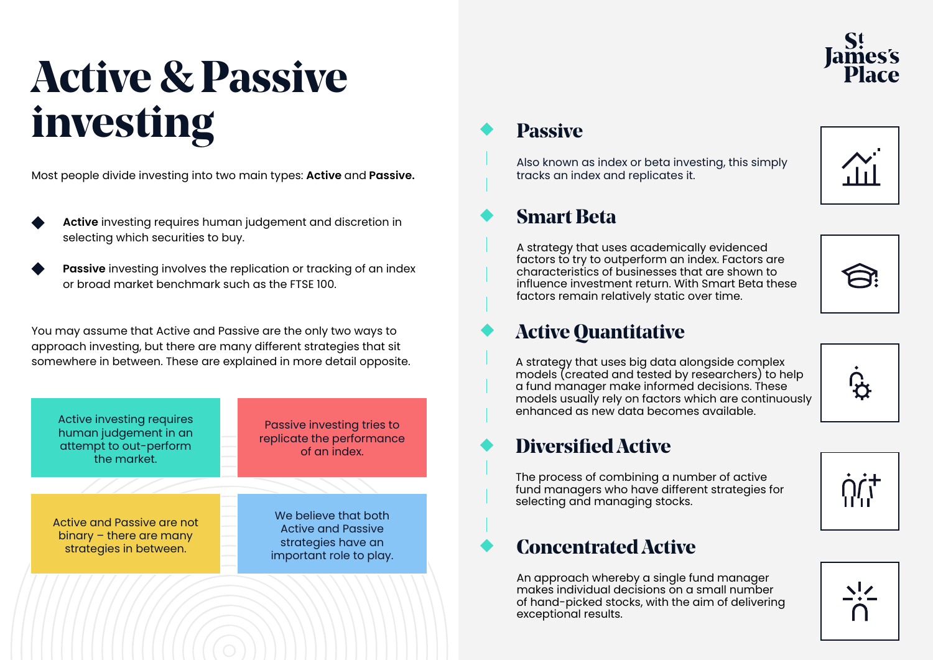## **Active & Passive investing**

Most people divide investing into two main types: **Active** and **Passive.**

- **Active** investing requires human judgement and discretion in selecting which securities to buy.
- **Passive** investing involves the replication or tracking of an index or broad market benchmark such as the FTSE 100.

You may assume that Active and Passive are the only two ways to approach investing, but there are many different strategies that sit somewhere in between. These are explained in more detail opposite.



# James's<br>Place

### **Passive**

Also known as index or beta investing, this simply tracks an index and replicates it.



### **Smart Beta**

A strategy that uses academically evidenced factors to try to outperform an index. Factors are characteristics of businesses that are shown to influence investment return. With Smart Beta these factors remain relatively static over time.

### **Active Quantitative**

A strategy that uses big data alongside complex models (created and tested by researchers) to help a fund manager make informed decisions. These models usually rely on factors which are continuously enhanced as new data becomes available.

### **Diversified Active**

The process of combining a number of active fund managers who have different strategies for selecting and managing stocks.

### **Concentrated Active**

An approach whereby a single fund manager makes individual decisions on a small number of hand-picked stocks, with the aim of delivering exceptional results.